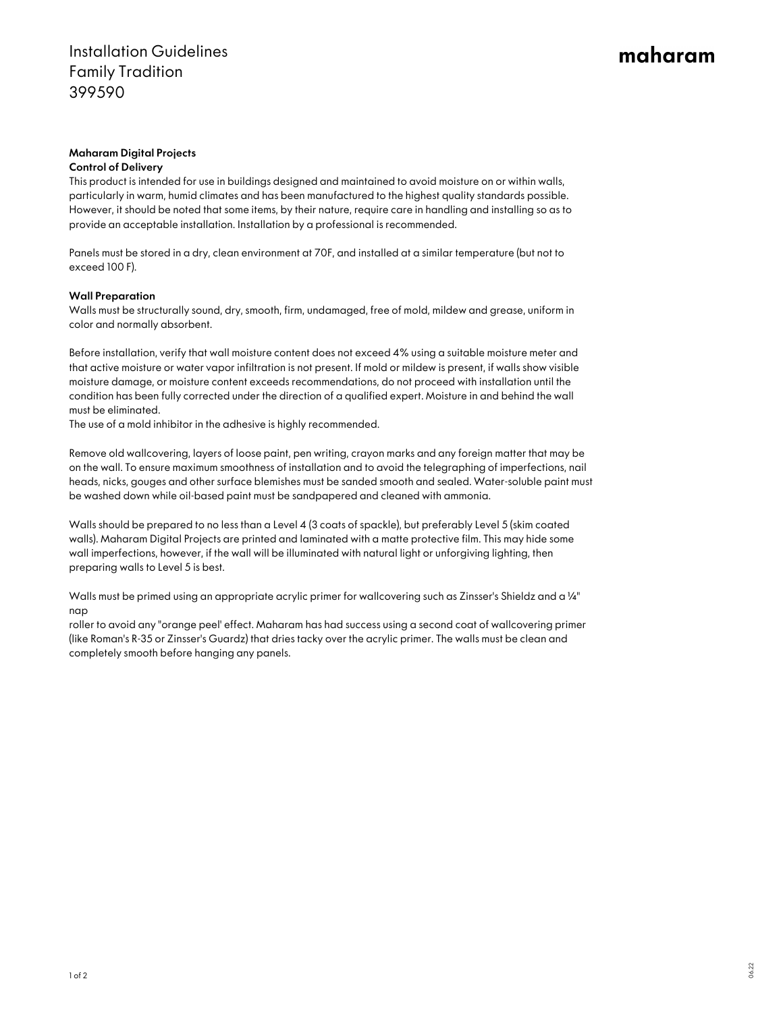## maharam

## Maharam Digital Projects

### Control of Delivery

This product is intended for use in buildings designed and maintained to avoid moisture on or within walls, particularly in warm, humid climates and has been manufactured to the highest quality standards possible. However, it should be noted that some items, by their nature, require care in handling and installing so as to provide an acceptable installation. Installation by a professional is recommended.

Panels must be stored in a dry, clean environment at 70F, and installed at a similar temperature (but not to exceed 100 F).

## Wall Preparation

Walls must be structurally sound, dry, smooth, firm, undamaged, free of mold, mildew and grease, uniform in color and normally absorbent.

Before installation, verify that wall moisture content does not exceed 4% using a suitable moisture meter and that active moisture or water vapor infiltration is not present. If mold or mildew is present, if walls show visible moisture damage, or moisture content exceeds recommendations, do not proceed with installation until the condition has been fully corrected under the direction of a qualified expert. Moisture in and behind the wall must be eliminated.

The use of a mold inhibitor in the adhesive is highly recommended.

Remove old wallcovering, layers of loose paint, pen writing, crayon marks and any foreign matter that may be on the wall. To ensure maximum smoothness of installation and to avoid the telegraphing of imperfections, nail heads, nicks, gouges and other surface blemishes must be sanded smooth and sealed. Water-soluble paint must be washed down while oil-based paint must be sandpapered and cleaned with ammonia.

Walls should be prepared to no less than a Level 4 (3 coats of spackle), but preferably Level 5 (skim coated walls). Maharam Digital Projects are printed and laminated with a matte protective film. This may hide some wall imperfections, however, if the wall will be illuminated with natural light or unforgiving lighting, then preparing walls to Level 5 is best.

Walls must be primed using an appropriate acrylic primer for wallcovering such as Zinsser's Shieldz and a ¼" nap

roller to avoid any "orange peel' effect. Maharam has had success using a second coat of wallcovering primer (like Roman's R-35 or Zinsser's Guardz) that dries tacky over the acrylic primer. The walls must be clean and completely smooth before hanging any panels.